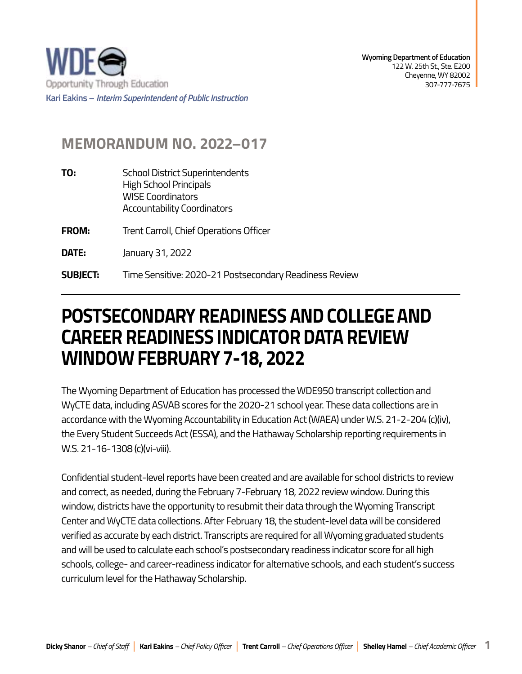

## **MEMORANDUM NO. 2022–017**

- **TO:** School District Superintendents High School Principals WISE Coordinators Accountability Coordinators
- **FROM:** Trent Carroll, Chief Operations Officer
- **DATE:** January 31, 2022

**SUBJECT: SUBJECT:** Time Sensitive: 2020-21 Postsecondary Readiness Review

## **POSTSECONDARY READINESS AND COLLEGE AND CAREER READINESS INDICATOR DATA REVIEW WINDOW FEBRUARY 7-18, 2022**

The Wyoming Department of Education has processed the WDE950 transcript collection and WyCTE data, including ASVAB scores for the 2020-21 school year. These data collections are in accordance with the Wyoming Accountability in Education Act (WAEA) under W.S. 21-2-204 (c)(iv), the Every Student Succeeds Act (ESSA), and the Hathaway Scholarship reporting requirements in W.S. 21-16-1308 (c)(vi-viii).

Confidential student-level reports have been created and are available for school districts to review and correct, as needed, during the February 7-February 18, 2022 review window. During this window, districts have the opportunity to resubmit their data through the Wyoming Transcript Center and WyCTE data collections. After February 18, the student-level data will be considered verified as accurate by each district. Transcripts are required for all Wyoming graduated students and will be used to calculate each school's postsecondary readiness indicator score for all high schools, college- and career-readiness indicator for alternative schools, and each student's success curriculum level for the Hathaway Scholarship.